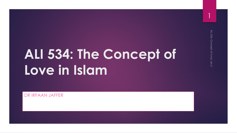# **ALI 534: The Concept of Love in Islam**

DR IRFAAN JAFFER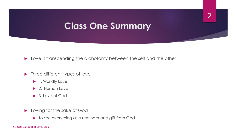#### **Class One Summary**

**Love is transcending the dichotomy between the self and the other** 

- **Three different types of love** 
	- ▶ 1. Worldly Love
	- ▶ 2. Human Love
	- ▶ 3. Love of God
- **Loving for the sake of God** 
	- $\blacktriangleright$  To see everything as a reminder and gift from God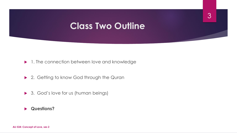#### **Class Two Outline**

3

▶ 1. The connection between love and knowledge

- ▶ 2. Getting to know God through the Quran
- ▶ 3. God's love for us (human beings)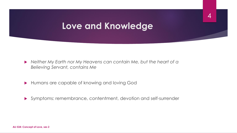#### **Love and Knowledge**

- *Neither My Earth nor My Heavens can contain Me, but the heart of a Believing Servant, contains Me*
- Humans are capable of knowing and loving God
- Symptoms: remembrance, contentment, devotion and self-surrender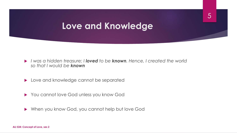#### **Love and Knowledge**

5

- *I was a hidden treasure; I loved to be known. Hence, I created the world so that I would be known*
- **Love and knowledge cannot be separated**
- ▶ You cannot love God unless you know God
- When you know God, you cannot help but love God

**ALI 534: Concept of Love, ses 2**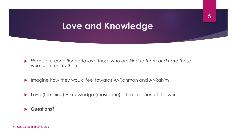#### **Love and Knowledge**

6

- *Hearts are conditioned to love those who are kind to them and hate those who are cruel to them*
- Imagine how they would feel towards Ar-Rahman and Ar-Rahim
- ▶ Love (feminine) + Knowledge (masculine) = The creation of the world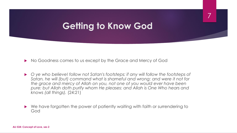7

No Goodness comes to us except by the Grace and Mercy of God

- ▶ ye who believe! follow not Satan's footsteps: if any will follow the footsteps of *Satan, he will (but) command what is shameful and wrong: and were it not for the grace and mercy of Allah on you, not one of you would ever have been pure: but Allah doth purify whom He pleases: and Allah is One Who hears and knows (all things).* (24:21)
- ▶ We have forgotten the power of patiently waiting with faith or surrendering to God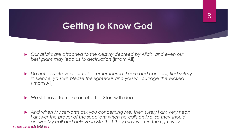- *Our affairs are attached to the destiny decreed by Allah, and even our best plans may lead us to destruction* (Imam Ali)
- *Do not elevate yourself to be remembered. Learn and conceal, find safety in silence, you will please the righteous and you will outrage the wicked*  (Imam Ali)
- ▶ We still have to make an effort --- Start with dua

 *And when My servants ask you concerning Me, then surely I am very near;*  I answer the prayer of the suppliant when he calls on Me, so they should *answer My call and believe in Me that they may walk in the right way.*  **ALI 534: Concept of Love ses 2**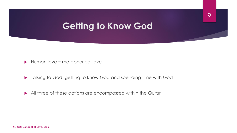9

 $\blacktriangleright$  Human love = metaphorical love

Talking to God, getting to know God and spending time with God

All three of these actions are encompassed within the Quran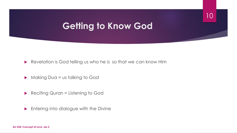10

Revelation is God telling us who he is so that we can know Him

- ▶ Making Dua = us talking to God
- Reciting Quran = Listening to God
- **Entering into dialogue with the Divine**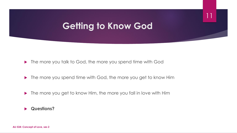11

▶ The more you talk to God, the more you spend time with God

- ▶ The more you spend time with God, the more you get to know Him
- ▶ The more you get to know Him, the more you fall in love with Him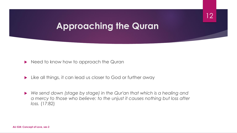### **Approaching the Quran**

12

Need to know how to approach the Quran

- **Like all things, it can lead us closer to God or further away**
- *We send down (stage by stage) in the Qur'an that which is a healing and a mercy to those who believe: to the unjust it causes nothing but loss after loss.* (17:82)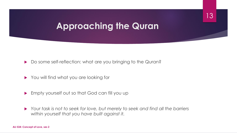#### **Approaching the Quran**

13

Do some self-reflection: what are you bringing to the Quran?

- ▶ You will find what you are looking for
- **Empty yourself out so that God can fill you up**
- *Your task is not to seek for love, but merely to seek and find all the barriers within yourself that you have built against it.*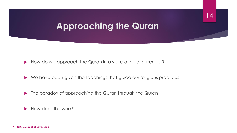#### **Approaching the Quran**

14

How do we approach the Quran in a state of quiet surrender?

- ▶ We have been given the teachings that guide our religious practices
- **The paradox of approaching the Quran through the Quran**

 $\blacktriangleright$  How does this work?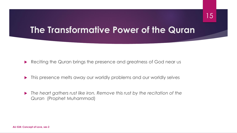#### **The Transformative Power of the Quran**

Reciting the Quran brings the presence and greatness of God near us

- $\blacktriangleright$  This presence melts away our worldly problems and our worldly selves
- *The heart gathers rust like iron. Remove this rust by the recitation of the Quran* (Prophet Muhammad)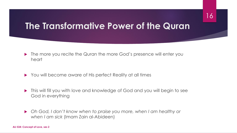#### **The Transformative Power of the Quran**

- ▶ The more you recite the Quran the more God's presence will enter you heart
- ▶ You will become aware of His perfect Reality at all times
- **This will fill you with love and knowledge of God and you will begin to see** God in everything
- *Oh God, I don't know when to praise you more, when I am healthy or when I am sick* (Imam Zain al-Abideen)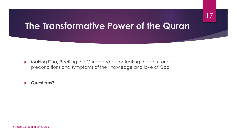#### 17

#### **The Transformative Power of the Quran**

 Making Dua, Reciting the Quran and perpetuating the dhikr are all preconditions and symptoms of the knowledge and love of God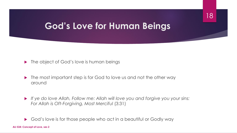## **God's Love for Human Beings**

18

▶ The object of God's love is human beings

- The most important step is for God to love us and not the other way around
- *If ye do love Allah, Follow me: Allah will love you and forgive you your sins: For Allah is Oft-Forgiving, Most Merciful* (3:31)

God's love is for those people who act in a beautiful or Godly way